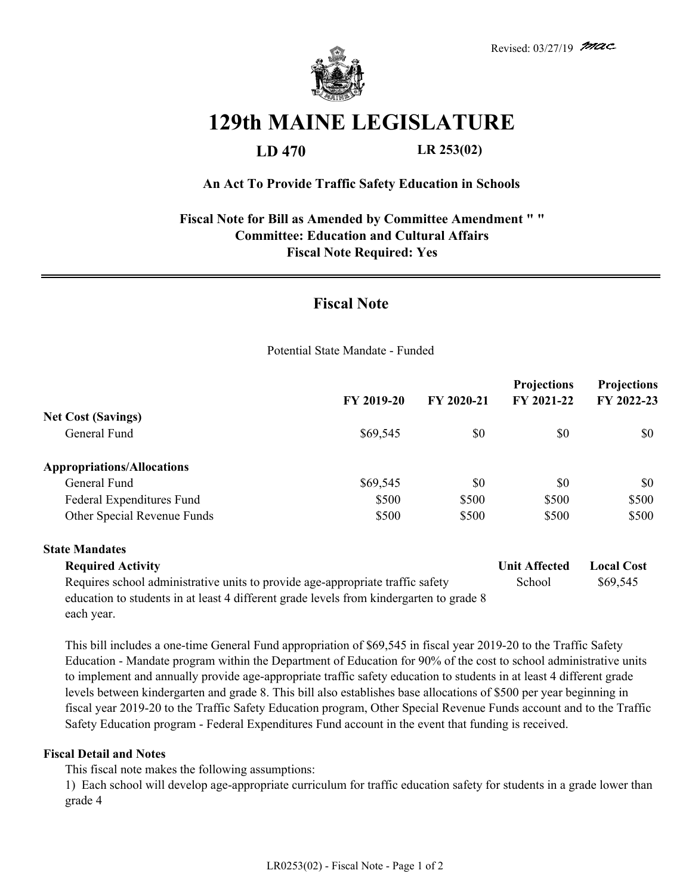

# **129th MAINE LEGISLATURE**

### **LD 470 LR 253(02)**

#### **An Act To Provide Traffic Safety Education in Schools**

#### **Fiscal Note for Bill as Amended by Committee Amendment " " Committee: Education and Cultural Affairs Fiscal Note Required: Yes**

## **Fiscal Note**

Potential State Mandate - Funded

|                                                                                                                                                                           | FY 2019-20 | FY 2020-21 | <b>Projections</b><br>FY 2021-22 | <b>Projections</b><br>FY 2022-23 |
|---------------------------------------------------------------------------------------------------------------------------------------------------------------------------|------------|------------|----------------------------------|----------------------------------|
| <b>Net Cost (Savings)</b>                                                                                                                                                 |            |            |                                  |                                  |
| General Fund                                                                                                                                                              | \$69,545   | \$0        | \$0                              | \$0                              |
| <b>Appropriations/Allocations</b>                                                                                                                                         |            |            |                                  |                                  |
| General Fund                                                                                                                                                              | \$69,545   | \$0        | \$0                              | \$0                              |
| Federal Expenditures Fund                                                                                                                                                 | \$500      | \$500      | \$500                            | \$500                            |
| Other Special Revenue Funds                                                                                                                                               | \$500      | \$500      | \$500                            | \$500                            |
| <b>State Mandates</b>                                                                                                                                                     |            |            |                                  |                                  |
| <b>Required Activity</b>                                                                                                                                                  |            |            | <b>Unit Affected</b>             | <b>Local Cost</b>                |
| Requires school administrative units to provide age-appropriate traffic safety<br>education to students in at least 4 different grade levels from kindergarten to grade 8 |            |            | School                           | \$69,545                         |

each year.

This bill includes a one-time General Fund appropriation of \$69,545 in fiscal year 2019-20 to the Traffic Safety Education - Mandate program within the Department of Education for 90% of the cost to school administrative units to implement and annually provide age-appropriate traffic safety education to students in at least 4 different grade levels between kindergarten and grade 8. This bill also establishes base allocations of \$500 per year beginning in fiscal year 2019-20 to the Traffic Safety Education program, Other Special Revenue Funds account and to the Traffic Safety Education program - Federal Expenditures Fund account in the event that funding is received.

#### **Fiscal Detail and Notes**

This fiscal note makes the following assumptions:

1) Each school will develop age-appropriate curriculum for traffic education safety for students in a grade lower than grade 4